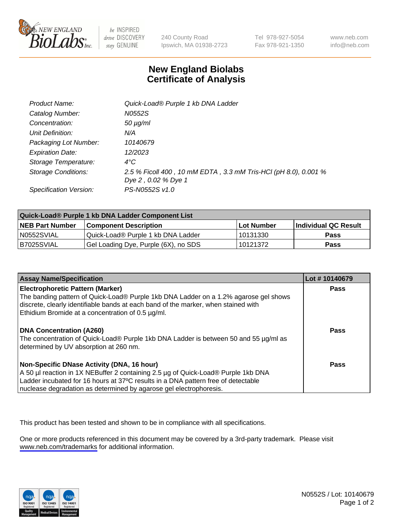

be INSPIRED drive DISCOVERY stay GENUINE

240 County Road Ipswich, MA 01938-2723 Tel 978-927-5054 Fax 978-921-1350

www.neb.com info@neb.com

## **New England Biolabs Certificate of Analysis**

| Product Name:           | Quick-Load® Purple 1 kb DNA Ladder                              |
|-------------------------|-----------------------------------------------------------------|
| Catalog Number:         | N0552S                                                          |
| Concentration:          | $50 \mu g/ml$                                                   |
| Unit Definition:        | N/A                                                             |
| Packaging Lot Number:   | 10140679                                                        |
| <b>Expiration Date:</b> | 12/2023                                                         |
| Storage Temperature:    | $4^{\circ}$ C                                                   |
| Storage Conditions:     | 2.5 % Ficoll 400, 10 mM EDTA, 3.3 mM Tris-HCl (pH 8.0), 0.001 % |
|                         | Dye 2, 0.02 % Dye 1                                             |
| Specification Version:  | PS-N0552S v1.0                                                  |

| Quick-Load® Purple 1 kb DNA Ladder Component List |                                      |              |                      |  |
|---------------------------------------------------|--------------------------------------|--------------|----------------------|--|
| <b>NEB Part Number</b>                            | <b>Component Description</b>         | l Lot Number | Individual QC Result |  |
| N0552SVIAL                                        | Quick-Load® Purple 1 kb DNA Ladder   | 10131330     | <b>Pass</b>          |  |
| I B7025SVIAL                                      | Gel Loading Dye, Purple (6X), no SDS | 10121372     | <b>Pass</b>          |  |

| <b>Assay Name/Specification</b>                                                                                                                                                                                                                                                            | Lot #10140679 |
|--------------------------------------------------------------------------------------------------------------------------------------------------------------------------------------------------------------------------------------------------------------------------------------------|---------------|
| <b>Electrophoretic Pattern (Marker)</b><br>The banding pattern of Quick-Load® Purple 1kb DNA Ladder on a 1.2% agarose gel shows<br>discrete, clearly identifiable bands at each band of the marker, when stained with<br>Ethidium Bromide at a concentration of 0.5 µg/ml.                 | <b>Pass</b>   |
| <b>DNA Concentration (A260)</b><br>The concentration of Quick-Load® Purple 1kb DNA Ladder is between 50 and 55 µg/ml as<br>determined by UV absorption at 260 nm.                                                                                                                          | Pass          |
| Non-Specific DNase Activity (DNA, 16 hour)<br>A 50 µl reaction in 1X NEBuffer 2 containing 2.5 µg of Quick-Load® Purple 1kb DNA<br>Ladder incubated for 16 hours at 37°C results in a DNA pattern free of detectable<br>nuclease degradation as determined by agarose gel electrophoresis. | Pass          |

This product has been tested and shown to be in compliance with all specifications.

One or more products referenced in this document may be covered by a 3rd-party trademark. Please visit <www.neb.com/trademarks>for additional information.